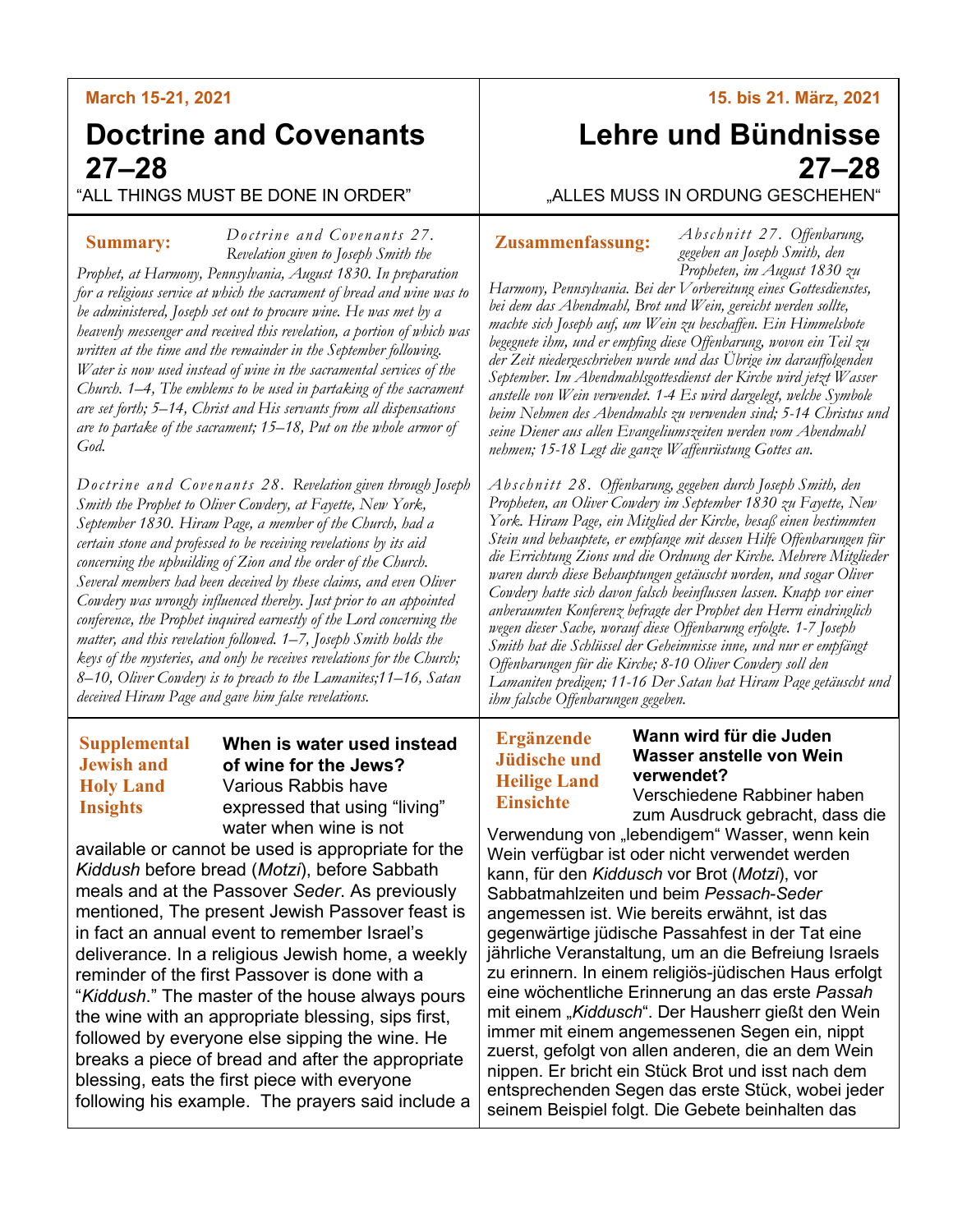# **March 15-21, 2021**

# **Doctrine and Covenants 27–28**

"ALL THINGS MUST BE DONE IN ORDER"

## **Summary:**

*Doctrine and Covenants 27. Revelation given to Joseph Smith the Prophet, at Harmony, Pennsylvania, August 1830. In preparation for a religious service at which the sacrament of bread and wine was to be administered, Joseph set out to procure wine. He was met by a heavenly messenger and received this revelation, a portion of which was written at the time and the remainder in the September following. Water is now used instead of wine in the sacramental services of the* 

*Church. 1–4, The emblems to be used in partaking of the sacrament are set forth; 5–14, Christ and His servants from all dispensations are to partake of the sacrament; 15–18, Put on the whole armor of God.*

*Doctrine and Covenants 28. Revelation given through Joseph Smith the Prophet to Oliver Cowdery, at Fayette, New York, September 1830. Hiram Page, a member of the Church, had a certain stone and professed to be receiving revelations by its aid concerning the upbuilding of Zion and the order of the Church. Several members had been deceived by these claims, and even Oliver Cowdery was wrongly influenced thereby. Just prior to an appointed conference, the Prophet inquired earnestly of the Lord concerning the matter, and this revelation followed. 1–7, Joseph Smith holds the keys of the mysteries, and only he receives revelations for the Church; 8–10, Oliver Cowdery is to preach to the Lamanites;11–16, Satan deceived Hiram Page and gave him false revelations.*

# **Supplemental Jewish and Holy Land Insights**

## **When is water used instead of wine for the Jews?** Various Rabbis have expressed that using "living" water when wine is not

available or cannot be used is appropriate for the *Kiddush* before bread (*Motzi*), before Sabbath meals and at the Passover *Seder*. As previously mentioned, The present Jewish Passover feast is in fact an annual event to remember Israel's deliverance. In a religious Jewish home, a weekly reminder of the first Passover is done with a "*Kiddush*." The master of the house always pours the wine with an appropriate blessing, sips first, followed by everyone else sipping the wine. He breaks a piece of bread and after the appropriate blessing, eats the first piece with everyone following his example. The prayers said include a **15. bis 21. März, 2021**

# **Lehre und Bündnisse 27–28**

"ALLES MUSS IN ORDUNG GESCHEHEN"

## **Zusammenfassung:**

*Ab sc hnitt 27. Offenbarung, gegeben an Joseph Smith, den Propheten, im August 1830 zu* 

*Harmony, Pennsylvania. Bei der Vorbereitung eines Gottesdienstes, bei dem das Abendmahl, Brot und Wein, gereicht werden sollte, machte sich Joseph auf, um Wein zu beschaffen. Ein Himmelsbote begegnete ihm, und er empfing diese Offenbarung, wovon ein Teil zu der Zeit niedergeschrieben wurde und das Übrige im darauffolgenden September. Im Abendmahlsgottesdienst der Kirche wird jetzt Wasser anstelle von Wein verwendet. 1-4 Es wird dargelegt, welche Symbole beim Nehmen des Abendmahls zu verwenden sind; 5-14 Christus und seine Diener aus allen Evangeliumszeiten werden vom Abendmahl nehmen; 15-18 Legt die ganze Waffenrüstung Gottes an.*

*Abschnitt 28. Offenbarung, gegeben durch Joseph Smith, den Propheten, an Oliver Cowdery im September 1830 zu Fayette, New York. Hiram Page, ein Mitglied der Kirche, besaß einen bestimmten Stein und behauptete, er empfange mit dessen Hilfe Offenbarungen für die Errichtung Zions und die Ordnung der Kirche. Mehrere Mitglieder waren durch diese Behauptungen getäuscht worden, und sogar Oliver Cowdery hatte sich davon falsch beeinflussen lassen. Knapp vor einer anberaumten Konferenz befragte der Prophet den Herrn eindringlich wegen dieser Sache, worauf diese Offenbarung erfolgte. 1-7 Joseph Smith hat die Schlüssel der Geheimnisse inne, und nur er empfängt Offenbarungen für die Kirche; 8-10 Oliver Cowdery soll den Lamaniten predigen; 11-16 Der Satan hat Hiram Page getäuscht und ihm falsche Offenbarungen gegeben.*

# **Ergänzende Jüdische und Heilige Land Einsichte**

### **Wann wird für die Juden Wasser anstelle von Wein verwendet?**

Verschiedene Rabbiner haben zum Ausdruck gebracht, dass die

Verwendung von "lebendigem" Wasser, wenn kein Wein verfügbar ist oder nicht verwendet werden kann, für den *Kiddusch* vor Brot (*Motzi*), vor Sabbatmahlzeiten und beim *Pessach*-*Seder* angemessen ist. Wie bereits erwähnt, ist das gegenwärtige jüdische Passahfest in der Tat eine jährliche Veranstaltung, um an die Befreiung Israels zu erinnern. In einem religiös-jüdischen Haus erfolgt eine wöchentliche Erinnerung an das erste *Passah* mit einem "*Kiddusch*". Der Hausherr gießt den Wein immer mit einem angemessenen Segen ein, nippt zuerst, gefolgt von allen anderen, die an dem Wein nippen. Er bricht ein Stück Brot und isst nach dem entsprechenden Segen das erste Stück, wobei jeder seinem Beispiel folgt. Die Gebete beinhalten das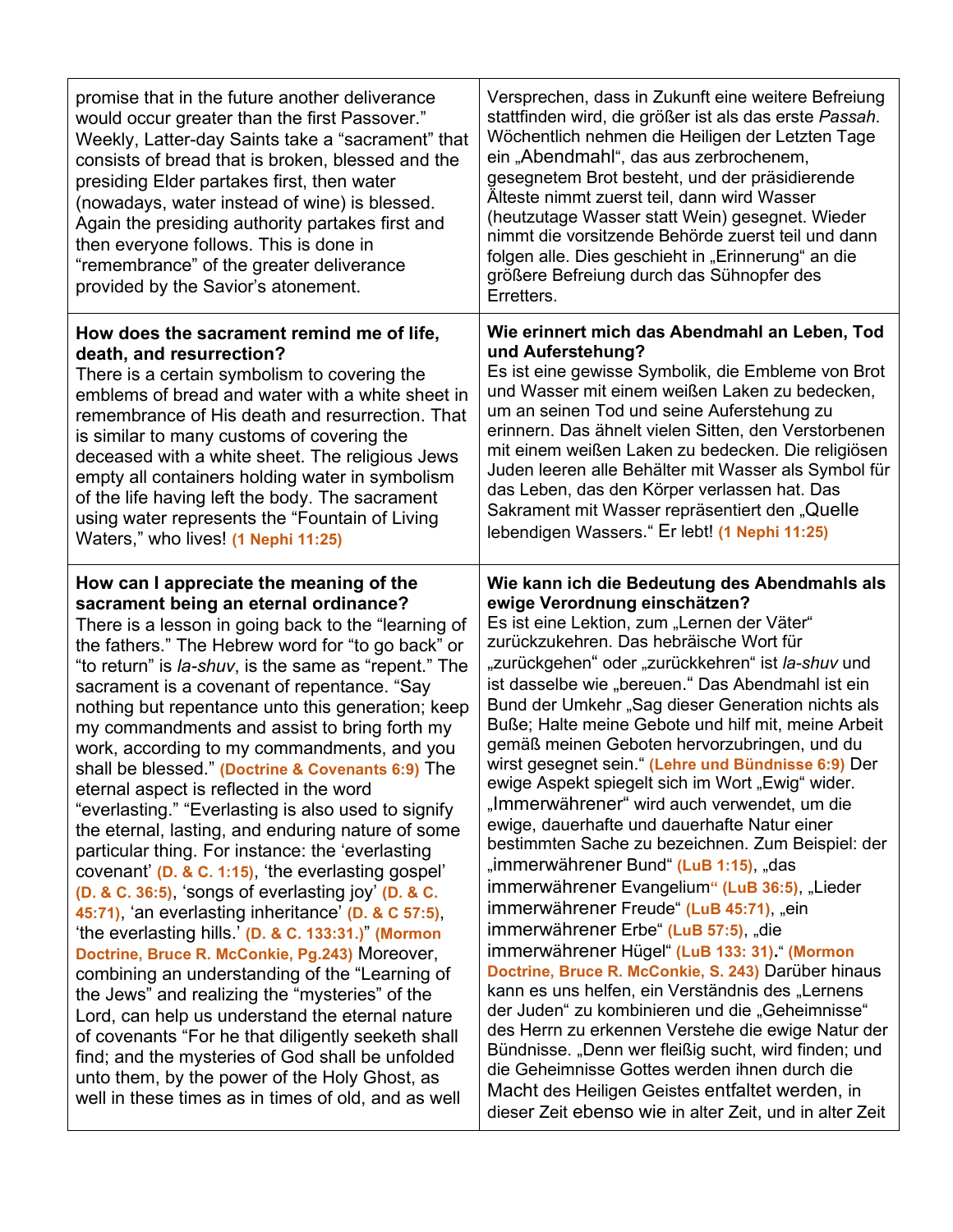| promise that in the future another deliverance<br>would occur greater than the first Passover."<br>Weekly, Latter-day Saints take a "sacrament" that<br>consists of bread that is broken, blessed and the<br>presiding Elder partakes first, then water<br>(nowadays, water instead of wine) is blessed.<br>Again the presiding authority partakes first and<br>then everyone follows. This is done in<br>"remembrance" of the greater deliverance<br>provided by the Savior's atonement.                                                                                                                                                                                                                                                                                                                                                                                                                                                                                                                                                                                                                                                                                                                                                                                                                                                                                          | Versprechen, dass in Zukunft eine weitere Befreiung<br>stattfinden wird, die größer ist als das erste Passah.<br>Wöchentlich nehmen die Heiligen der Letzten Tage<br>ein "Abendmahl", das aus zerbrochenem,<br>gesegnetem Brot besteht, und der präsidierende<br>Älteste nimmt zuerst teil, dann wird Wasser<br>(heutzutage Wasser statt Wein) gesegnet. Wieder<br>nimmt die vorsitzende Behörde zuerst teil und dann<br>folgen alle. Dies geschieht in "Erinnerung" an die<br>größere Befreiung durch das Sühnopfer des<br>Erretters.                                                                                                                                                                                                                                                                                                                                                                                                                                                                                                                                                                                                                                                                                                                                                                                                                                                |
|------------------------------------------------------------------------------------------------------------------------------------------------------------------------------------------------------------------------------------------------------------------------------------------------------------------------------------------------------------------------------------------------------------------------------------------------------------------------------------------------------------------------------------------------------------------------------------------------------------------------------------------------------------------------------------------------------------------------------------------------------------------------------------------------------------------------------------------------------------------------------------------------------------------------------------------------------------------------------------------------------------------------------------------------------------------------------------------------------------------------------------------------------------------------------------------------------------------------------------------------------------------------------------------------------------------------------------------------------------------------------------|---------------------------------------------------------------------------------------------------------------------------------------------------------------------------------------------------------------------------------------------------------------------------------------------------------------------------------------------------------------------------------------------------------------------------------------------------------------------------------------------------------------------------------------------------------------------------------------------------------------------------------------------------------------------------------------------------------------------------------------------------------------------------------------------------------------------------------------------------------------------------------------------------------------------------------------------------------------------------------------------------------------------------------------------------------------------------------------------------------------------------------------------------------------------------------------------------------------------------------------------------------------------------------------------------------------------------------------------------------------------------------------|
| How does the sacrament remind me of life,<br>death, and resurrection?<br>There is a certain symbolism to covering the<br>emblems of bread and water with a white sheet in<br>remembrance of His death and resurrection. That<br>is similar to many customs of covering the<br>deceased with a white sheet. The religious Jews<br>empty all containers holding water in symbolism<br>of the life having left the body. The sacrament<br>using water represents the "Fountain of Living<br>Waters," who lives! (1 Nephi 11:25)                                                                                                                                                                                                                                                                                                                                                                                                                                                                                                                                                                                                                                                                                                                                                                                                                                                       | Wie erinnert mich das Abendmahl an Leben, Tod<br>und Auferstehung?<br>Es ist eine gewisse Symbolik, die Embleme von Brot<br>und Wasser mit einem weißen Laken zu bedecken,<br>um an seinen Tod und seine Auferstehung zu<br>erinnern. Das ähnelt vielen Sitten, den Verstorbenen<br>mit einem weißen Laken zu bedecken. Die religiösen<br>Juden leeren alle Behälter mit Wasser als Symbol für<br>das Leben, das den Körper verlassen hat. Das<br>Sakrament mit Wasser repräsentiert den "Quelle<br>lebendigen Wassers." Er lebt! (1 Nephi 11:25)                                                                                                                                                                                                                                                                                                                                                                                                                                                                                                                                                                                                                                                                                                                                                                                                                                     |
| How can I appreciate the meaning of the<br>sacrament being an eternal ordinance?<br>There is a lesson in going back to the "learning of<br>the fathers." The Hebrew word for "to go back" or<br>"to return" is la-shuv, is the same as "repent." The<br>sacrament is a covenant of repentance. "Say<br>nothing but repentance unto this generation; keep<br>my commandments and assist to bring forth my<br>work, according to my commandments, and you<br>shall be blessed." (Doctrine & Covenants 6:9) The<br>eternal aspect is reflected in the word<br>"everlasting." "Everlasting is also used to signify<br>the eternal, lasting, and enduring nature of some<br>particular thing. For instance: the 'everlasting<br>covenant' (D. & C. 1:15), 'the everlasting gospel'<br>$(D. & C. 36:5)$ , 'songs of everlasting joy' $(D. & C.$<br>45:71), 'an everlasting inheritance' (D. & C 57:5),<br>'the everlasting hills.' (D. & C. 133:31.)" (Mormon<br>Doctrine, Bruce R. McConkie, Pg.243) Moreover,<br>combining an understanding of the "Learning of<br>the Jews" and realizing the "mysteries" of the<br>Lord, can help us understand the eternal nature<br>of covenants "For he that diligently seeketh shall<br>find; and the mysteries of God shall be unfolded<br>unto them, by the power of the Holy Ghost, as<br>well in these times as in times of old, and as well | Wie kann ich die Bedeutung des Abendmahls als<br>ewige Verordnung einschätzen?<br>Es ist eine Lektion, zum "Lernen der Väter"<br>zurückzukehren. Das hebräische Wort für<br>"zurückgehen" oder "zurückkehren" ist la-shuv und<br>ist dasselbe wie "bereuen." Das Abendmahl ist ein<br>Bund der Umkehr "Sag dieser Generation nichts als<br>Buße; Halte meine Gebote und hilf mit, meine Arbeit<br>gemäß meinen Geboten hervorzubringen, und du<br>wirst gesegnet sein." (Lehre und Bündnisse 6:9) Der<br>ewige Aspekt spiegelt sich im Wort "Ewig" wider.<br>"Immerwährener" wird auch verwendet, um die<br>ewige, dauerhafte und dauerhafte Natur einer<br>bestimmten Sache zu bezeichnen. Zum Beispiel: der<br>"immerwährener Bund" (LuB 1:15), "das<br>immerwährener Evangelium" (LuB 36:5), "Lieder<br>immerwährener Freude" (LuB 45:71), "ein<br>immerwährener Erbe" (LuB 57:5), "die<br>immerwährener Hügel" (LuB 133: 31)." (Mormon<br>Doctrine, Bruce R. McConkie, S. 243) Darüber hinaus<br>kann es uns helfen, ein Verständnis des "Lernens<br>der Juden" zu kombinieren und die "Geheimnisse"<br>des Herrn zu erkennen Verstehe die ewige Natur der<br>Bündnisse. "Denn wer fleißig sucht, wird finden; und<br>die Geheimnisse Gottes werden ihnen durch die<br>Macht des Heiligen Geistes entfaltet werden, in<br>dieser Zeit ebenso wie in alter Zeit, und in alter Zeit |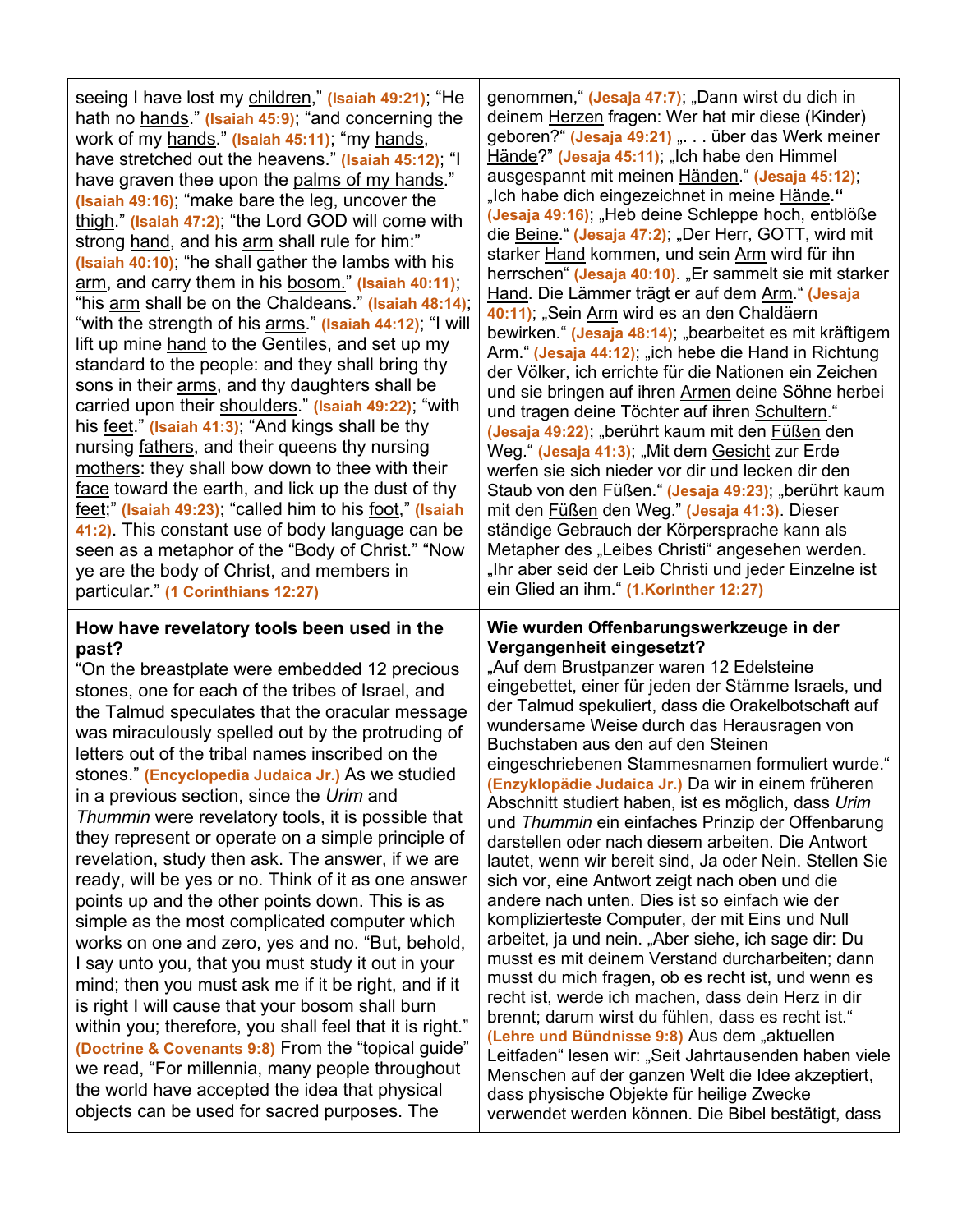| seeing I have lost my children," (Isaiah 49:21); "He     |  |  |
|----------------------------------------------------------|--|--|
| hath no hands." (Isaiah 45:9); "and concerning the       |  |  |
| work of my hands." (Isaiah 45:11); "my hands,            |  |  |
| have stretched out the heavens." (Isaiah 45:12); "I      |  |  |
| have graven thee upon the palms of my hands."            |  |  |
| (Isaiah 49:16), "make bare the leg, uncover the          |  |  |
| thigh." (Isaiah 47:2); "the Lord GOD will come with      |  |  |
| strong hand, and his arm shall rule for him:"            |  |  |
| (Isaiah 40:10), "he shall gather the lambs with his      |  |  |
| arm, and carry them in his bosom." (Isaiah 40:11);       |  |  |
| "his arm shall be on the Chaldeans." (Isaiah 48:14),     |  |  |
| "with the strength of his arms." (Isaiah 44:12); "I will |  |  |
| lift up mine hand to the Gentiles, and set up my         |  |  |
| standard to the people: and they shall bring thy         |  |  |
| sons in their arms, and thy daughters shall be           |  |  |
| carried upon their shoulders." (Isaiah 49:22); "with     |  |  |
| his feet." (Isaiah 41:3); "And kings shall be thy        |  |  |
| nursing fathers, and their queens thy nursing            |  |  |
| mothers: they shall bow down to thee with their          |  |  |
| face toward the earth, and lick up the dust of thy       |  |  |
| feet;" (Isaiah 49:23); "called him to his foot," (Isaiah |  |  |
| 41:2). This constant use of body language can be         |  |  |
| seen as a metaphor of the "Body of Christ." "Now         |  |  |
| ye are the body of Christ, and members in                |  |  |
| particular." (1 Corinthians 12:27)                       |  |  |
|                                                          |  |  |

### **How have revelatory tools been used in the past?**

"On the breastplate were embedded 12 precious stones, one for each of the tribes of Israel, and the Talmud speculates that the oracular message was miraculously spelled out by the protruding of letters out of the tribal names inscribed on the stones." **(Encyclopedia Judaica Jr.)** As we studied in a previous section, since the *Urim* and *Thummin* were revelatory tools, it is possible that they represent or operate on a simple principle of revelation, study then ask. The answer, if we are ready, will be yes or no. Think of it as one answer points up and the other points down. This is as simple as the most complicated computer which works on one and zero, yes and no. "But, behold, I say unto you, that you must study it out in your mind; then you must ask me if it be right, and if it is right I will cause that your bosom shall burn within you; therefore, you shall feel that it is right." **(Doctrine & Covenants 9:8)** From the "topical guide" we read, "For millennia, many people throughout the world have accepted the idea that physical objects can be used for sacred purposes. The

genommen, " (Jesaja 47:7); "Dann wirst du dich in deinem Herzen fragen: Wer hat mir diese (Kinder) geboren?" (Jesaja 49:21) "... über das Werk meiner Hände?" (Jesaja 45:11); "Ich habe den Himmel ausgespannt mit meinen Händen." **(Jesaja 45:12)**; "Ich habe dich eingezeichnet in meine Hände**." (Jesaja 49:16)**; "Heb deine Schleppe hoch, entblöße die Beine." **(Jesaja 47:2)**; "Der Herr, GOTT, wird mit starker Hand kommen, und sein Arm wird für ihn herrschen" (Jesaja 40:10). "Er sammelt sie mit starker Hand. Die Lämmer trägt er auf dem Arm." **(Jesaja 40:11)**; "Sein Arm wird es an den Chaldäern bewirken." (Jesaja 48:14); "bearbeitet es mit kräftigem Arm." (Jesaja 44:12); "ich hebe die Hand in Richtung der Völker, ich errichte für die Nationen ein Zeichen und sie bringen auf ihren Armen deine Söhne herbei und tragen deine Töchter auf ihren Schultern." **(Jesaja 49:22)**; "berührt kaum mit den Füßen den Weg." **(Jesaja 41:3)**; "Mit dem Gesicht zur Erde werfen sie sich nieder vor dir und lecken dir den Staub von den Füßen." (Jesaja 49:23); "berührt kaum mit den Füßen den Weg." **(Jesaja 41:3)**. Dieser ständige Gebrauch der Körpersprache kann als Metapher des "Leibes Christi" angesehen werden. "Ihr aber seid der Leib Christi und jeder Einzelne ist ein Glied an ihm." **(1.Korinther 12:27)**

### **Wie wurden Offenbarungswerkzeuge in der Vergangenheit eingesetzt?**

"Auf dem Brustpanzer waren 12 Edelsteine eingebettet, einer für jeden der Stämme Israels, und der Talmud spekuliert, dass die Orakelbotschaft auf wundersame Weise durch das Herausragen von Buchstaben aus den auf den Steinen eingeschriebenen Stammesnamen formuliert wurde." **(Enzyklopädie Judaica Jr.)** Da wir in einem früheren Abschnitt studiert haben, ist es möglich, dass *Urim* und *Thummin* ein einfaches Prinzip der Offenbarung darstellen oder nach diesem arbeiten. Die Antwort lautet, wenn wir bereit sind, Ja oder Nein. Stellen Sie sich vor, eine Antwort zeigt nach oben und die andere nach unten. Dies ist so einfach wie der komplizierteste Computer, der mit Eins und Null arbeitet, ja und nein. "Aber siehe, ich sage dir: Du musst es mit deinem Verstand durcharbeiten; dann musst du mich fragen, ob es recht ist, und wenn es recht ist, werde ich machen, dass dein Herz in dir brennt; darum wirst du fühlen, dass es recht ist." **(Lehre und Bündnisse 9:8)** Aus dem "aktuellen Leitfaden" lesen wir: "Seit Jahrtausenden haben viele Menschen auf der ganzen Welt die Idee akzeptiert, dass physische Objekte für heilige Zwecke verwendet werden können. Die Bibel bestätigt, dass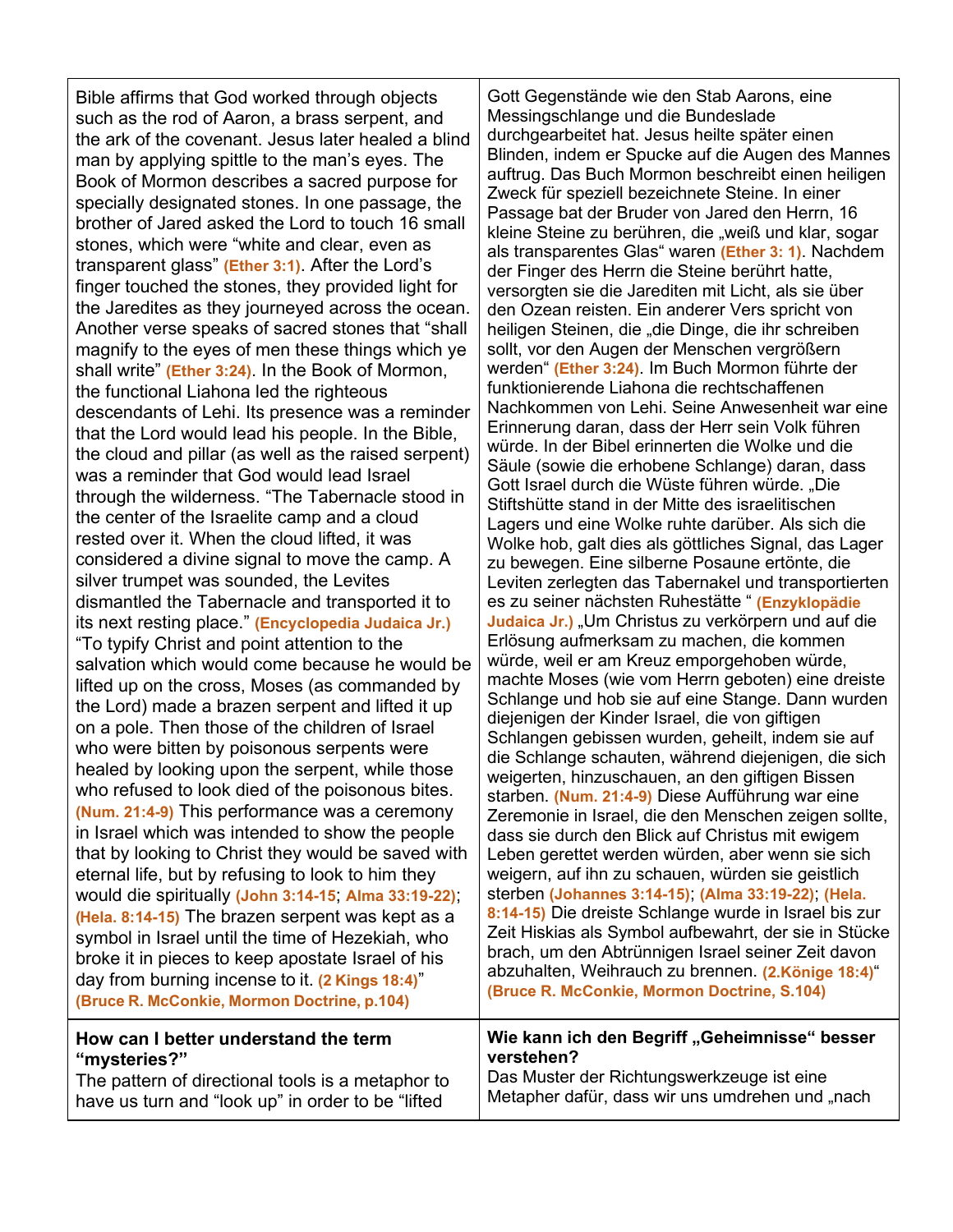Bible affirms that God worked through objects such as the rod of Aaron, a brass serpent, and the ark of the covenant. Jesus later healed a blind man by applying spittle to the man's eyes. The Book of Mormon describes a sacred purpose for specially designated stones. In one passage, the brother of Jared asked the Lord to touch 16 small stones, which were "white and clear, even as transparent glass" **(Ether 3:1)**. After the Lord's finger touched the stones, they provided light for the Jaredites as they journeyed across the ocean. Another verse speaks of sacred stones that "shall magnify to the eyes of men these things which ye shall write" **(Ether 3:24)**. In the Book of Mormon, the functional Liahona led the righteous descendants of Lehi. Its presence was a reminder that the Lord would lead his people. In the Bible, the cloud and pillar (as well as the raised serpent) was a reminder that God would lead Israel through the wilderness. "The Tabernacle stood in the center of the Israelite camp and a cloud rested over it. When the cloud lifted, it was considered a divine signal to move the camp. A silver trumpet was sounded, the Levites dismantled the Tabernacle and transported it to its next resting place." **(Encyclopedia Judaica Jr.)** "To typify Christ and point attention to the salvation which would come because he would be lifted up on the cross, Moses (as commanded by the Lord) made a brazen serpent and lifted it up on a pole. Then those of the children of Israel who were bitten by poisonous serpents were healed by looking upon the serpent, while those who refused to look died of the poisonous bites. **(Num. 21:4-9)** This performance was a ceremony in Israel which was intended to show the people that by looking to Christ they would be saved with eternal life, but by refusing to look to him they would die spiritually **(John 3:14-15**; **Alma 33:19-22)**; **(Hela. 8:14-15)** The brazen serpent was kept as a symbol in Israel until the time of Hezekiah, who broke it in pieces to keep apostate Israel of his day from burning incense to it. **(2 Kings 18:4)**" **(Bruce R. McConkie, Mormon Doctrine, p.104)**

## **How can I better understand the term "mysteries?"**

The pattern of directional tools is a metaphor to have us turn and "look up" in order to be "lifted

Gott Gegenstände wie den Stab Aarons, eine Messingschlange und die Bundeslade durchgearbeitet hat. Jesus heilte später einen Blinden, indem er Spucke auf die Augen des Mannes auftrug. Das Buch Mormon beschreibt einen heiligen Zweck für speziell bezeichnete Steine. In einer Passage bat der Bruder von Jared den Herrn, 16 kleine Steine zu berühren, die "weiß und klar, sogar als transparentes Glas" waren **(Ether 3: 1)**. Nachdem der Finger des Herrn die Steine berührt hatte, versorgten sie die Jarediten mit Licht, als sie über den Ozean reisten. Ein anderer Vers spricht von heiligen Steinen, die "die Dinge, die ihr schreiben sollt, vor den Augen der Menschen vergrößern werden" **(Ether 3:24)**. Im Buch Mormon führte der funktionierende Liahona die rechtschaffenen Nachkommen von Lehi. Seine Anwesenheit war eine Erinnerung daran, dass der Herr sein Volk führen würde. In der Bibel erinnerten die Wolke und die Säule (sowie die erhobene Schlange) daran, dass Gott Israel durch die Wüste führen würde. "Die Stiftshütte stand in der Mitte des israelitischen Lagers und eine Wolke ruhte darüber. Als sich die Wolke hob, galt dies als göttliches Signal, das Lager zu bewegen. Eine silberne Posaune ertönte, die Leviten zerlegten das Tabernakel und transportierten es zu seiner nächsten Ruhestätte " **(Enzyklopädie**  Judaica Jr.) "Um Christus zu verkörpern und auf die Erlösung aufmerksam zu machen, die kommen würde, weil er am Kreuz emporgehoben würde, machte Moses (wie vom Herrn geboten) eine dreiste Schlange und hob sie auf eine Stange. Dann wurden diejenigen der Kinder Israel, die von giftigen Schlangen gebissen wurden, geheilt, indem sie auf die Schlange schauten, während diejenigen, die sich weigerten, hinzuschauen, an den giftigen Bissen starben. **(Num. 21:4-9)** Diese Aufführung war eine Zeremonie in Israel, die den Menschen zeigen sollte, dass sie durch den Blick auf Christus mit ewigem Leben gerettet werden würden, aber wenn sie sich weigern, auf ihn zu schauen, würden sie geistlich sterben **(Johannes 3:14-15)**; **(Alma 33:19-22)**; **(Hela. 8:14-15)** Die dreiste Schlange wurde in Israel bis zur Zeit Hiskias als Symbol aufbewahrt, der sie in Stücke brach, um den Abtrünnigen Israel seiner Zeit davon abzuhalten, Weihrauch zu brennen. **(2.Könige 18:4)**" **(Bruce R. McConkie, Mormon Doctrine, S.104)**

# Wie kann ich den Begriff "Geheimnisse" besser **verstehen?**

Das Muster der Richtungswerkzeuge ist eine Metapher dafür, dass wir uns umdrehen und "nach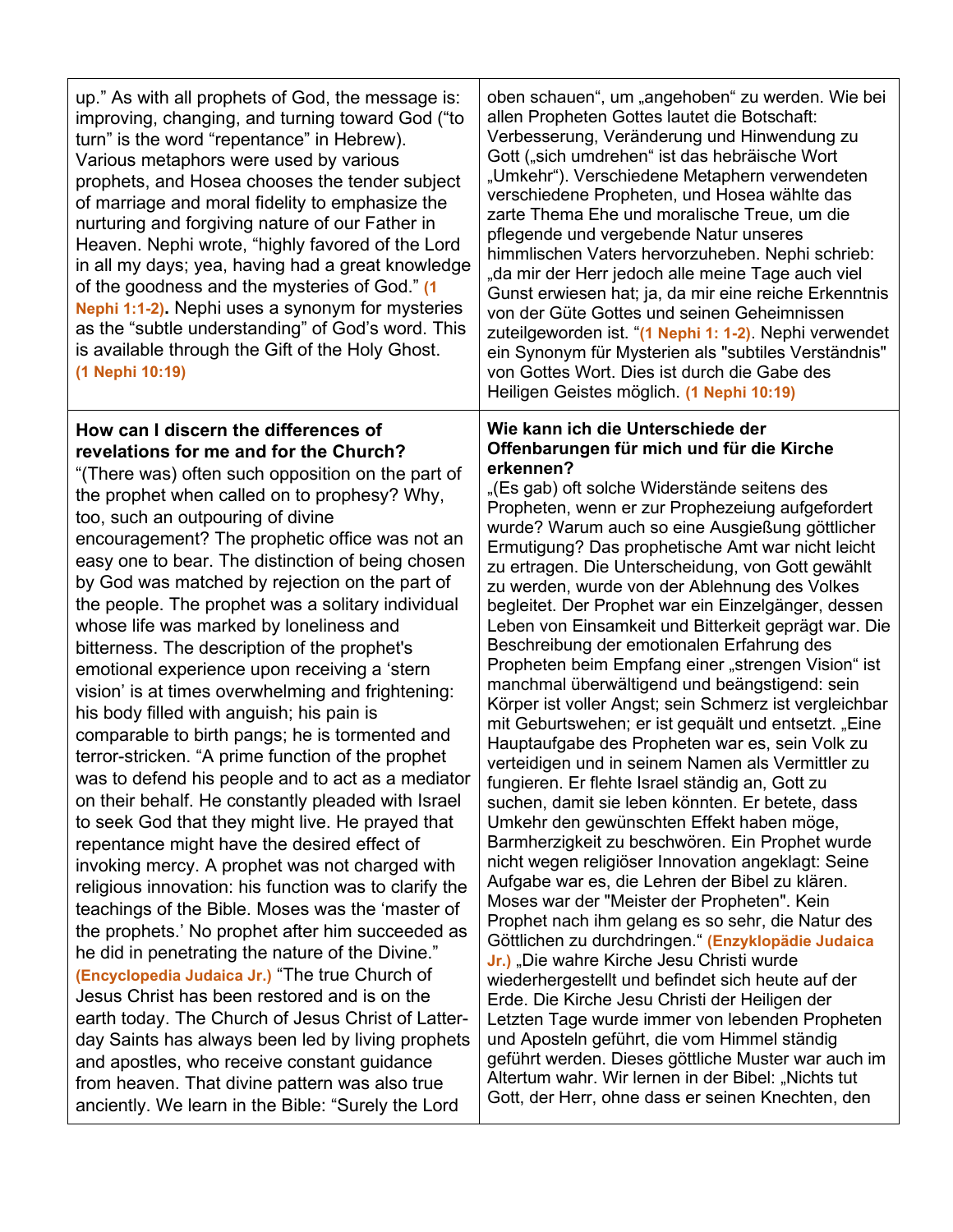| up." As with all prophets of God, the message is:<br>improving, changing, and turning toward God ("to<br>turn" is the word "repentance" in Hebrew).<br>Various metaphors were used by various<br>prophets, and Hosea chooses the tender subject<br>of marriage and moral fidelity to emphasize the<br>nurturing and forgiving nature of our Father in<br>Heaven. Nephi wrote, "highly favored of the Lord<br>in all my days; yea, having had a great knowledge<br>of the goodness and the mysteries of God." (1<br>Nephi 1:1-2). Nephi uses a synonym for mysteries<br>as the "subtle understanding" of God's word. This<br>is available through the Gift of the Holy Ghost.<br>(1 Nephi 10:19)                                                                                                                                                                                                                                                                                                                                                                                                                                                                                                                                                                                                                                                                                                                                                                                              | oben schauen", um "angehoben" zu werden. Wie bei<br>allen Propheten Gottes lautet die Botschaft:<br>Verbesserung, Veränderung und Hinwendung zu<br>Gott ("sich umdrehen" ist das hebräische Wort<br>"Umkehr"). Verschiedene Metaphern verwendeten<br>verschiedene Propheten, und Hosea wählte das<br>zarte Thema Ehe und moralische Treue, um die<br>pflegende und vergebende Natur unseres<br>himmlischen Vaters hervorzuheben. Nephi schrieb:<br>"da mir der Herr jedoch alle meine Tage auch viel<br>Gunst erwiesen hat; ja, da mir eine reiche Erkenntnis<br>von der Güte Gottes und seinen Geheimnissen<br>zuteilgeworden ist. "(1 Nephi 1: 1-2). Nephi verwendet<br>ein Synonym für Mysterien als "subtiles Verständnis"<br>von Gottes Wort. Dies ist durch die Gabe des<br>Heiligen Geistes möglich. (1 Nephi 10:19)                                                                                                                                                                                                                                                                                                                                                                                                                                                                                                                                                                                                                                                                                                                                                                                                                  |
|----------------------------------------------------------------------------------------------------------------------------------------------------------------------------------------------------------------------------------------------------------------------------------------------------------------------------------------------------------------------------------------------------------------------------------------------------------------------------------------------------------------------------------------------------------------------------------------------------------------------------------------------------------------------------------------------------------------------------------------------------------------------------------------------------------------------------------------------------------------------------------------------------------------------------------------------------------------------------------------------------------------------------------------------------------------------------------------------------------------------------------------------------------------------------------------------------------------------------------------------------------------------------------------------------------------------------------------------------------------------------------------------------------------------------------------------------------------------------------------------|----------------------------------------------------------------------------------------------------------------------------------------------------------------------------------------------------------------------------------------------------------------------------------------------------------------------------------------------------------------------------------------------------------------------------------------------------------------------------------------------------------------------------------------------------------------------------------------------------------------------------------------------------------------------------------------------------------------------------------------------------------------------------------------------------------------------------------------------------------------------------------------------------------------------------------------------------------------------------------------------------------------------------------------------------------------------------------------------------------------------------------------------------------------------------------------------------------------------------------------------------------------------------------------------------------------------------------------------------------------------------------------------------------------------------------------------------------------------------------------------------------------------------------------------------------------------------------------------------------------------------------------------|
| How can I discern the differences of<br>revelations for me and for the Church?<br>"(There was) often such opposition on the part of<br>the prophet when called on to prophesy? Why,<br>too, such an outpouring of divine<br>encouragement? The prophetic office was not an<br>easy one to bear. The distinction of being chosen<br>by God was matched by rejection on the part of<br>the people. The prophet was a solitary individual<br>whose life was marked by loneliness and<br>bitterness. The description of the prophet's<br>emotional experience upon receiving a 'stern<br>vision' is at times overwhelming and frightening:<br>his body filled with anguish; his pain is<br>comparable to birth pangs; he is tormented and<br>terror-stricken. "A prime function of the prophet<br>was to defend his people and to act as a mediator<br>on their behalf. He constantly pleaded with Israel<br>to seek God that they might live. He prayed that<br>repentance might have the desired effect of<br>invoking mercy. A prophet was not charged with<br>religious innovation: his function was to clarify the<br>teachings of the Bible. Moses was the 'master of<br>the prophets.' No prophet after him succeeded as<br>he did in penetrating the nature of the Divine."<br>(Encyclopedia Judaica Jr.) "The true Church of<br>Jesus Christ has been restored and is on the<br>earth today. The Church of Jesus Christ of Latter-<br>day Saints has always been led by living prophets | Wie kann ich die Unterschiede der<br>Offenbarungen für mich und für die Kirche<br>erkennen?<br>"(Es gab) oft solche Widerstände seitens des<br>Propheten, wenn er zur Prophezeiung aufgefordert<br>wurde? Warum auch so eine Ausgießung göttlicher<br>Ermutigung? Das prophetische Amt war nicht leicht<br>zu ertragen. Die Unterscheidung, von Gott gewählt<br>zu werden, wurde von der Ablehnung des Volkes<br>begleitet. Der Prophet war ein Einzelgänger, dessen<br>Leben von Einsamkeit und Bitterkeit geprägt war. Die<br>Beschreibung der emotionalen Erfahrung des<br>Propheten beim Empfang einer "strengen Vision" ist<br>manchmal überwältigend und beängstigend: sein<br>Körper ist voller Angst; sein Schmerz ist vergleichbar<br>mit Geburtswehen; er ist gequält und entsetzt. "Eine<br>Hauptaufgabe des Propheten war es, sein Volk zu<br>verteidigen und in seinem Namen als Vermittler zu<br>fungieren. Er flehte Israel ständig an, Gott zu<br>suchen, damit sie leben könnten. Er betete, dass<br>Umkehr den gewünschten Effekt haben möge,<br>Barmherzigkeit zu beschwören. Ein Prophet wurde<br>nicht wegen religiöser Innovation angeklagt: Seine<br>Aufgabe war es, die Lehren der Bibel zu klären.<br>Moses war der "Meister der Propheten". Kein<br>Prophet nach ihm gelang es so sehr, die Natur des<br>Göttlichen zu durchdringen." (Enzyklopädie Judaica<br>Jr.) "Die wahre Kirche Jesu Christi wurde<br>wiederhergestellt und befindet sich heute auf der<br>Erde. Die Kirche Jesu Christi der Heiligen der<br>Letzten Tage wurde immer von lebenden Propheten<br>und Aposteln geführt, die vom Himmel ständig |
| and apostles, who receive constant guidance<br>from heaven. That divine pattern was also true<br>anciently. We learn in the Bible: "Surely the Lord                                                                                                                                                                                                                                                                                                                                                                                                                                                                                                                                                                                                                                                                                                                                                                                                                                                                                                                                                                                                                                                                                                                                                                                                                                                                                                                                          | geführt werden. Dieses göttliche Muster war auch im<br>Altertum wahr. Wir lernen in der Bibel: "Nichts tut<br>Gott, der Herr, ohne dass er seinen Knechten, den                                                                                                                                                                                                                                                                                                                                                                                                                                                                                                                                                                                                                                                                                                                                                                                                                                                                                                                                                                                                                                                                                                                                                                                                                                                                                                                                                                                                                                                                              |